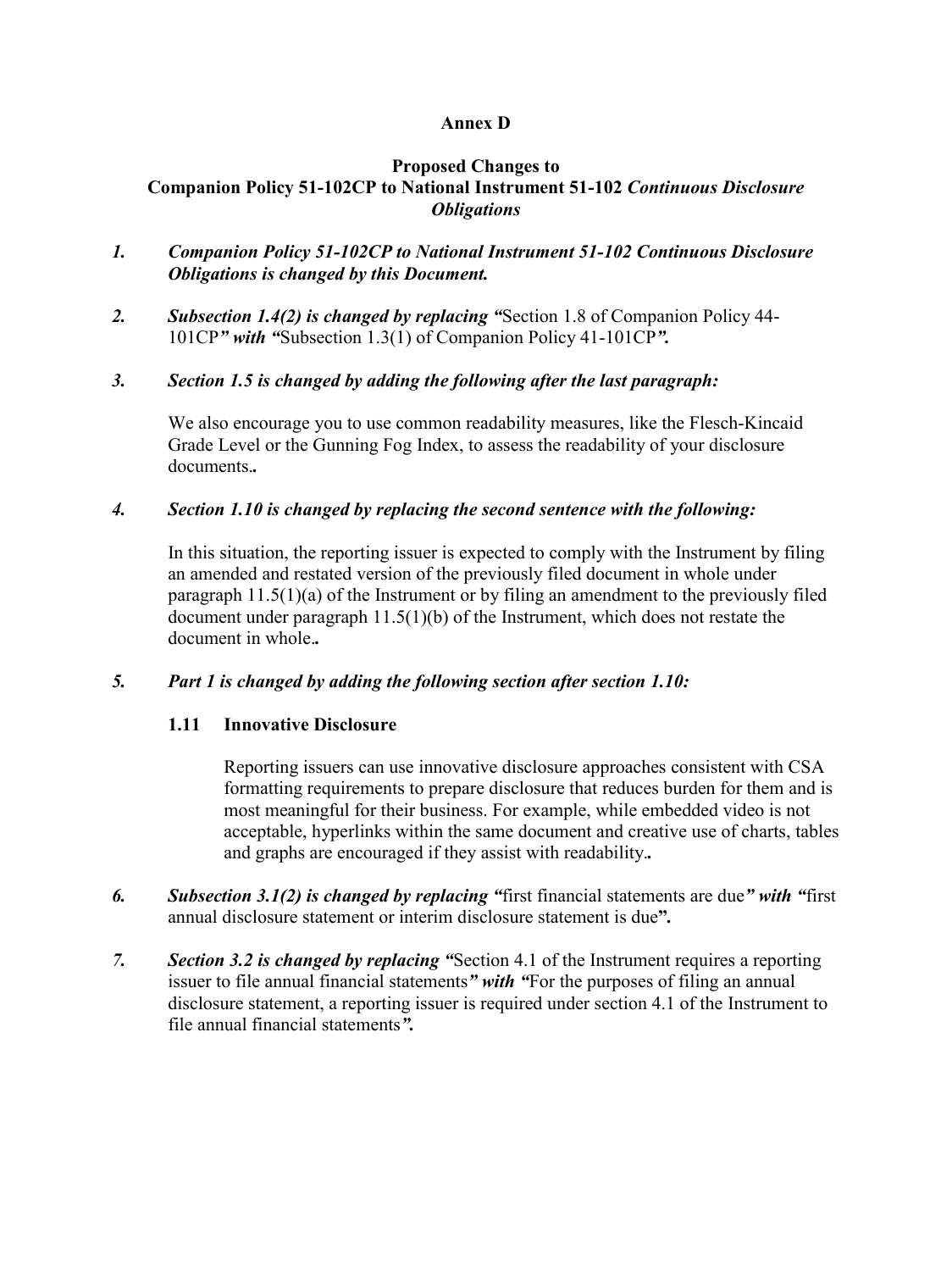# **Annex D**

#### **Proposed Changes to Companion Policy 51-102CP to National Instrument 51-102** *Continuous Disclosure Obligations*

- *1. Companion Policy 51-102CP to National Instrument 51-102 Continuous Disclosure Obligations is changed by this Document.*
- *2. Subsection 1.4(2) is changed by replacing "*Section 1.8 of Companion Policy 44- 101CP*" with "*Subsection 1.3(1) of Companion Policy 41-101CP*".*

## *3. Section 1.5 is changed by adding the following after the last paragraph:*

We also encourage you to use common readability measures, like the Flesch-Kincaid Grade Level or the Gunning Fog Index, to assess the readability of your disclosure documents.*.*

## *4. Section 1.10 is changed by replacing the second sentence with the following:*

In this situation, the reporting issuer is expected to comply with the Instrument by filing an amended and restated version of the previously filed document in whole under paragraph 11.5(1)(a) of the Instrument or by filing an amendment to the previously filed document under paragraph 11.5(1)(b) of the Instrument, which does not restate the document in whole.*.*

## *5. Part 1 is changed by adding the following section after section 1.10:*

# **1.11 Innovative Disclosure**

Reporting issuers can use innovative disclosure approaches consistent with CSA formatting requirements to prepare disclosure that reduces burden for them and is most meaningful for their business. For example, while embedded video is not acceptable, hyperlinks within the same document and creative use of charts, tables and graphs are encouraged if they assist with readability.*.*

- *6. Subsection 3.1(2) is changed by replacing "*first financial statements are due*" with "*first annual disclosure statement or interim disclosure statement is due**"***.*
- *7. Section 3.2 is changed by replacing "*Section 4.1 of the Instrument requires a reporting issuer to file annual financial statements*" with "*For the purposes of filing an annual disclosure statement, a reporting issuer is required under section 4.1 of the Instrument to file annual financial statements*".*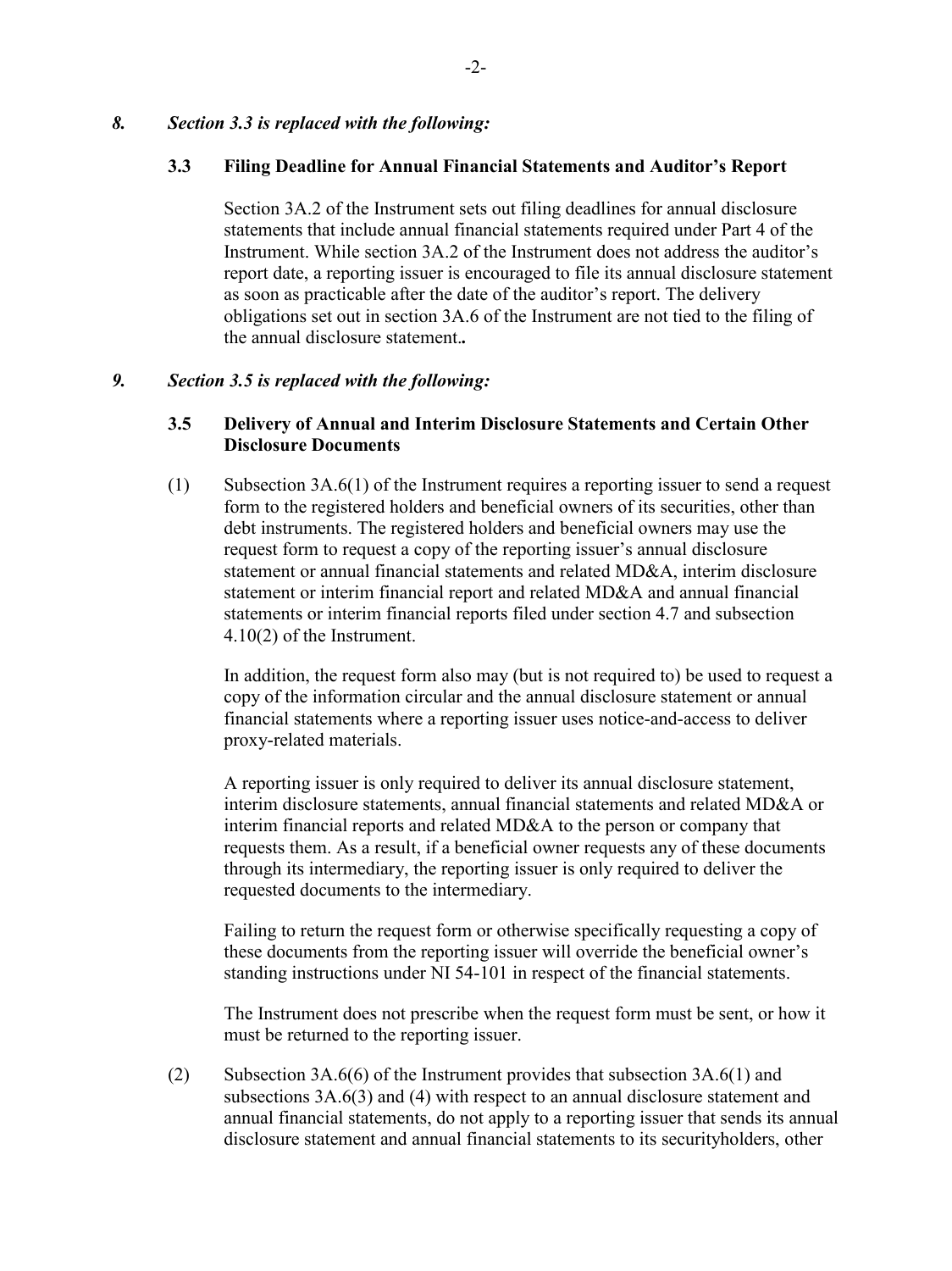#### *8. Section 3.3 is replaced with the following:*

#### **3.3 Filing Deadline for Annual Financial Statements and Auditor's Report**

Section 3A.2 of the Instrument sets out filing deadlines for annual disclosure statements that include annual financial statements required under Part 4 of the Instrument. While section 3A.2 of the Instrument does not address the auditor's report date, a reporting issuer is encouraged to file its annual disclosure statement as soon as practicable after the date of the auditor's report. The delivery obligations set out in section 3A.6 of the Instrument are not tied to the filing of the annual disclosure statement.*.*

#### *9. Section 3.5 is replaced with the following:*

## **3.5 Delivery of Annual and Interim Disclosure Statements and Certain Other Disclosure Documents**

(1) Subsection 3A.6(1) of the Instrument requires a reporting issuer to send a request form to the registered holders and beneficial owners of its securities, other than debt instruments. The registered holders and beneficial owners may use the request form to request a copy of the reporting issuer's annual disclosure statement or annual financial statements and related MD&A, interim disclosure statement or interim financial report and related MD&A and annual financial statements or interim financial reports filed under section 4.7 and subsection 4.10(2) of the Instrument.

In addition, the request form also may (but is not required to) be used to request a copy of the information circular and the annual disclosure statement or annual financial statements where a reporting issuer uses notice-and-access to deliver proxy-related materials.

A reporting issuer is only required to deliver its annual disclosure statement, interim disclosure statements, annual financial statements and related MD&A or interim financial reports and related MD&A to the person or company that requests them. As a result, if a beneficial owner requests any of these documents through its intermediary, the reporting issuer is only required to deliver the requested documents to the intermediary.

Failing to return the request form or otherwise specifically requesting a copy of these documents from the reporting issuer will override the beneficial owner's standing instructions under NI 54-101 in respect of the financial statements.

The Instrument does not prescribe when the request form must be sent, or how it must be returned to the reporting issuer.

(2) Subsection 3A.6(6) of the Instrument provides that subsection 3A.6(1) and subsections 3A.6(3) and (4) with respect to an annual disclosure statement and annual financial statements, do not apply to a reporting issuer that sends its annual disclosure statement and annual financial statements to its securityholders, other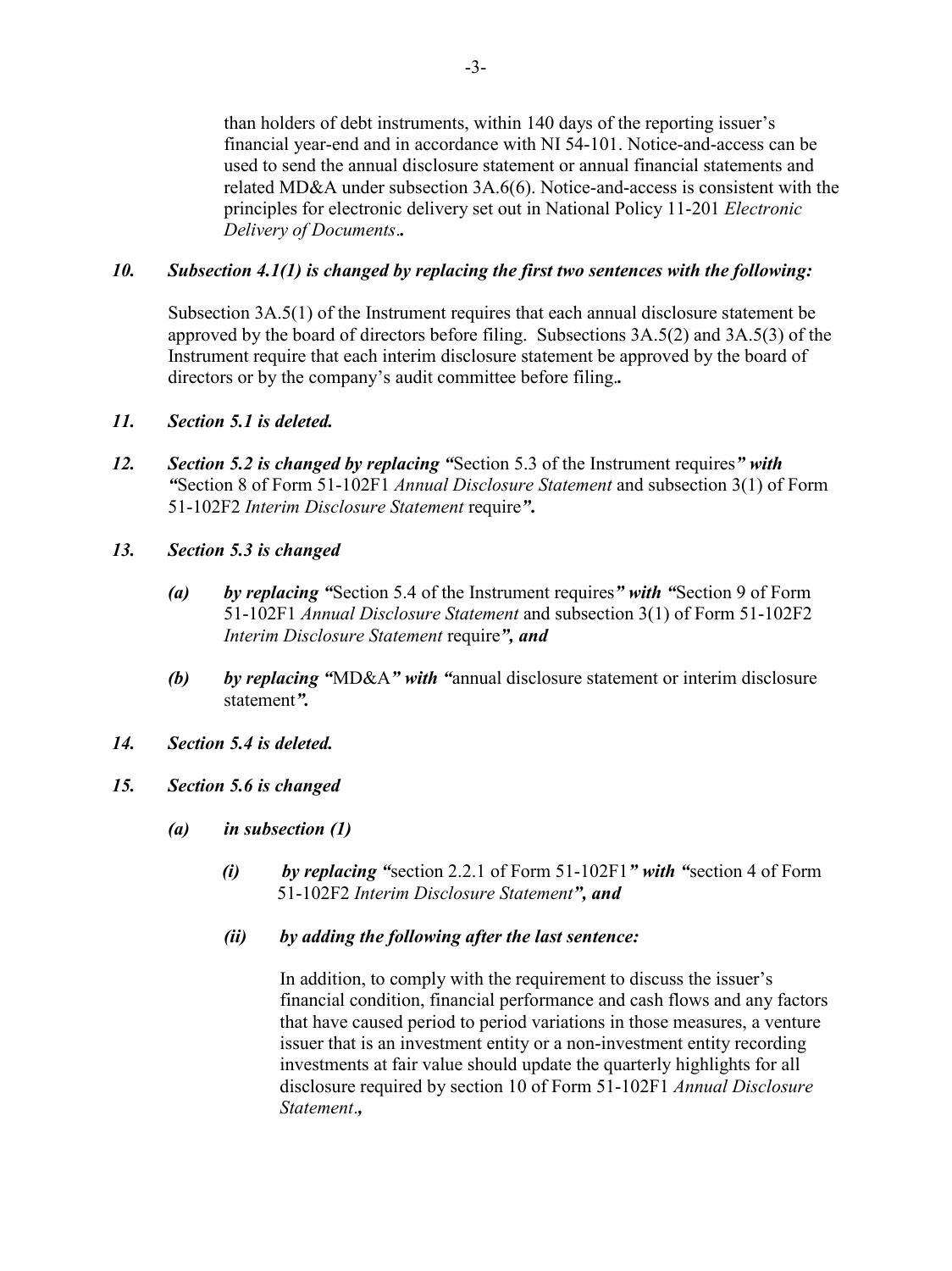than holders of debt instruments, within 140 days of the reporting issuer's financial year-end and in accordance with NI 54-101. Notice-and-access can be used to send the annual disclosure statement or annual financial statements and related MD&A under subsection 3A.6(6). Notice-and-access is consistent with the principles for electronic delivery set out in National Policy 11-201 *Electronic Delivery of Documents*.*.*

# *10. Subsection 4.1(1) is changed by replacing the first two sentences with the following:*

Subsection 3A.5(1) of the Instrument requires that each annual disclosure statement be approved by the board of directors before filing. Subsections 3A.5(2) and 3A.5(3) of the Instrument require that each interim disclosure statement be approved by the board of directors or by the company's audit committee before filing.*.*

## *11. Section 5.1 is deleted.*

- *12. Section 5.2 is changed by replacing "*Section 5.3 of the Instrument requires*" with "*Section 8 of Form 51-102F1 *Annual Disclosure Statement* and subsection 3(1) of Form 51-102F2 *Interim Disclosure Statement* require*"***.**
- *13. Section 5.3 is changed*
	- *(a) by replacing "*Section 5.4 of the Instrument requires*" with "*Section 9 of Form 51-102F1 *Annual Disclosure Statement* and subsection 3(1) of Form 51-102F2 *Interim Disclosure Statement* require*", and*
	- *(b) by replacing "*MD&A*" with "*annual disclosure statement or interim disclosure statement*".*
- *14. Section 5.4 is deleted.*

## *15. Section 5.6 is changed*

- *(a) in subsection (1)*
	- *(i) by replacing "*section 2.2.1 of Form 51-102F1*" with "*section 4 of Form 51-102F2 *Interim Disclosure Statement", and*

#### *(ii) by adding the following after the last sentence:*

In addition, to comply with the requirement to discuss the issuer's financial condition, financial performance and cash flows and any factors that have caused period to period variations in those measures, a venture issuer that is an investment entity or a non-investment entity recording investments at fair value should update the quarterly highlights for all disclosure required by section 10 of Form 51-102F1 *Annual Disclosure Statement*.*,*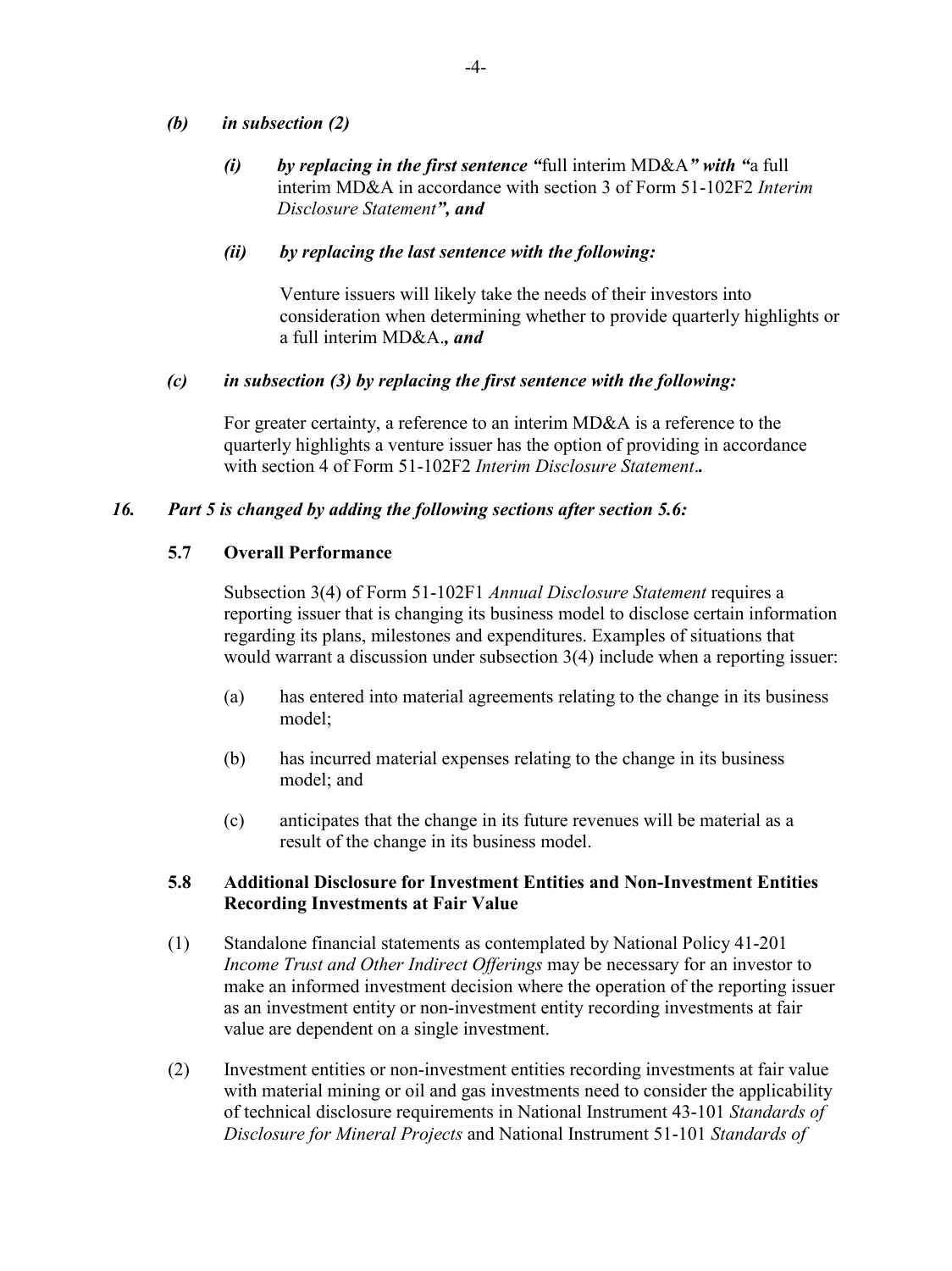## *(b) in subsection (2)*

*(i) by replacing in the first sentence "*full interim MD&A*" with "*a full interim MD&A in accordance with section 3 of Form 51-102F2 *Interim Disclosure Statement", and*

#### *(ii) by replacing the last sentence with the following:*

Venture issuers will likely take the needs of their investors into consideration when determining whether to provide quarterly highlights or a full interim MD&A.*, and*

#### *(c) in subsection (3) by replacing the first sentence with the following:*

For greater certainty, a reference to an interim MD&A is a reference to the quarterly highlights a venture issuer has the option of providing in accordance with section 4 of Form 51-102F2 *Interim Disclosure Statement*.*.*

## *16. Part 5 is changed by adding the following sections after section 5.6:*

#### **5.7 Overall Performance**

Subsection 3(4) of Form 51-102F1 *Annual Disclosure Statement* requires a reporting issuer that is changing its business model to disclose certain information regarding its plans, milestones and expenditures. Examples of situations that would warrant a discussion under subsection 3(4) include when a reporting issuer:

- (a) has entered into material agreements relating to the change in its business model;
- (b) has incurred material expenses relating to the change in its business model; and
- (c) anticipates that the change in its future revenues will be material as a result of the change in its business model.

## **5.8 Additional Disclosure for Investment Entities and Non-Investment Entities Recording Investments at Fair Value**

- (1) Standalone financial statements as contemplated by National Policy 41-201 *Income Trust and Other Indirect Offerings* may be necessary for an investor to make an informed investment decision where the operation of the reporting issuer as an investment entity or non-investment entity recording investments at fair value are dependent on a single investment.
- (2) Investment entities or non-investment entities recording investments at fair value with material mining or oil and gas investments need to consider the applicability of technical disclosure requirements in National Instrument 43-101 *Standards of Disclosure for Mineral Projects* and National Instrument 51-101 *Standards of*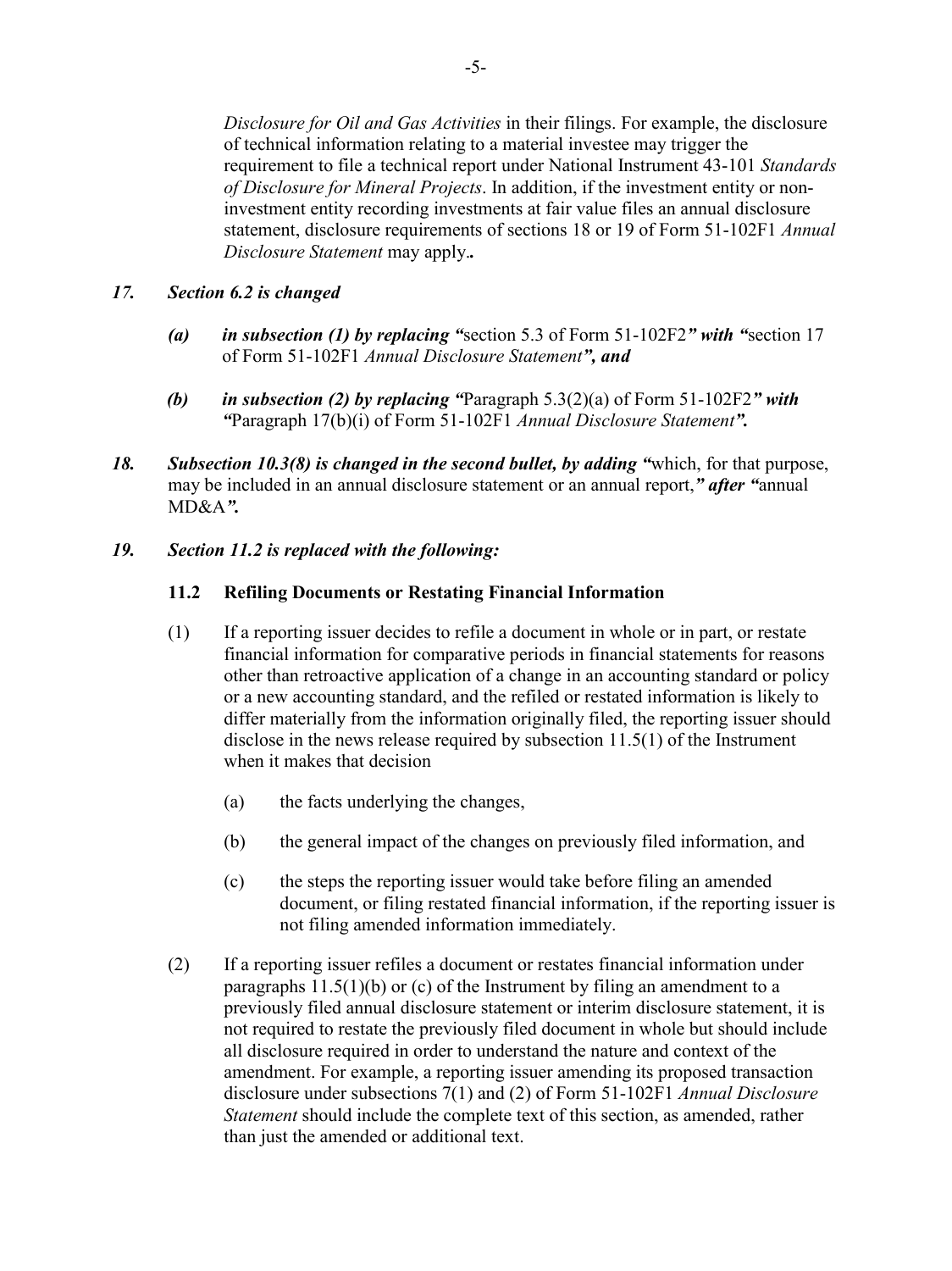*Disclosure for Oil and Gas Activities* in their filings. For example, the disclosure of technical information relating to a material investee may trigger the requirement to file a technical report under National Instrument 43-101 *Standards of Disclosure for Mineral Projects*. In addition, if the investment entity or noninvestment entity recording investments at fair value files an annual disclosure statement, disclosure requirements of sections 18 or 19 of Form 51-102F1 *Annual Disclosure Statement* may apply.*.*

## *17. Section 6.2 is changed*

- *(a) in subsection (1) by replacing "*section 5.3 of Form 51-102F2*" with "*section 17 of Form 51-102F1 *Annual Disclosure Statement", and*
- *(b) in subsection (2) by replacing "*Paragraph 5.3(2)(a) of Form 51-102F2*" with "*Paragraph 17(b)(i) of Form 51-102F1 *Annual Disclosure Statement".*
- *18. Subsection 10.3(8) is changed in the second bullet, by adding "*which, for that purpose, may be included in an annual disclosure statement or an annual report,*" after "*annual MD&A*".*

# *19. Section 11.2 is replaced with the following:*

# **11.2 Refiling Documents or Restating Financial Information**

- (1) If a reporting issuer decides to refile a document in whole or in part, or restate financial information for comparative periods in financial statements for reasons other than retroactive application of a change in an accounting standard or policy or a new accounting standard, and the refiled or restated information is likely to differ materially from the information originally filed, the reporting issuer should disclose in the news release required by subsection 11.5(1) of the Instrument when it makes that decision
	- (a) the facts underlying the changes,
	- (b) the general impact of the changes on previously filed information, and
	- (c) the steps the reporting issuer would take before filing an amended document, or filing restated financial information, if the reporting issuer is not filing amended information immediately.
- (2) If a reporting issuer refiles a document or restates financial information under paragraphs  $11.5(1)(b)$  or (c) of the Instrument by filing an amendment to a previously filed annual disclosure statement or interim disclosure statement, it is not required to restate the previously filed document in whole but should include all disclosure required in order to understand the nature and context of the amendment. For example, a reporting issuer amending its proposed transaction disclosure under subsections 7(1) and (2) of Form 51-102F1 *Annual Disclosure Statement* should include the complete text of this section, as amended, rather than just the amended or additional text.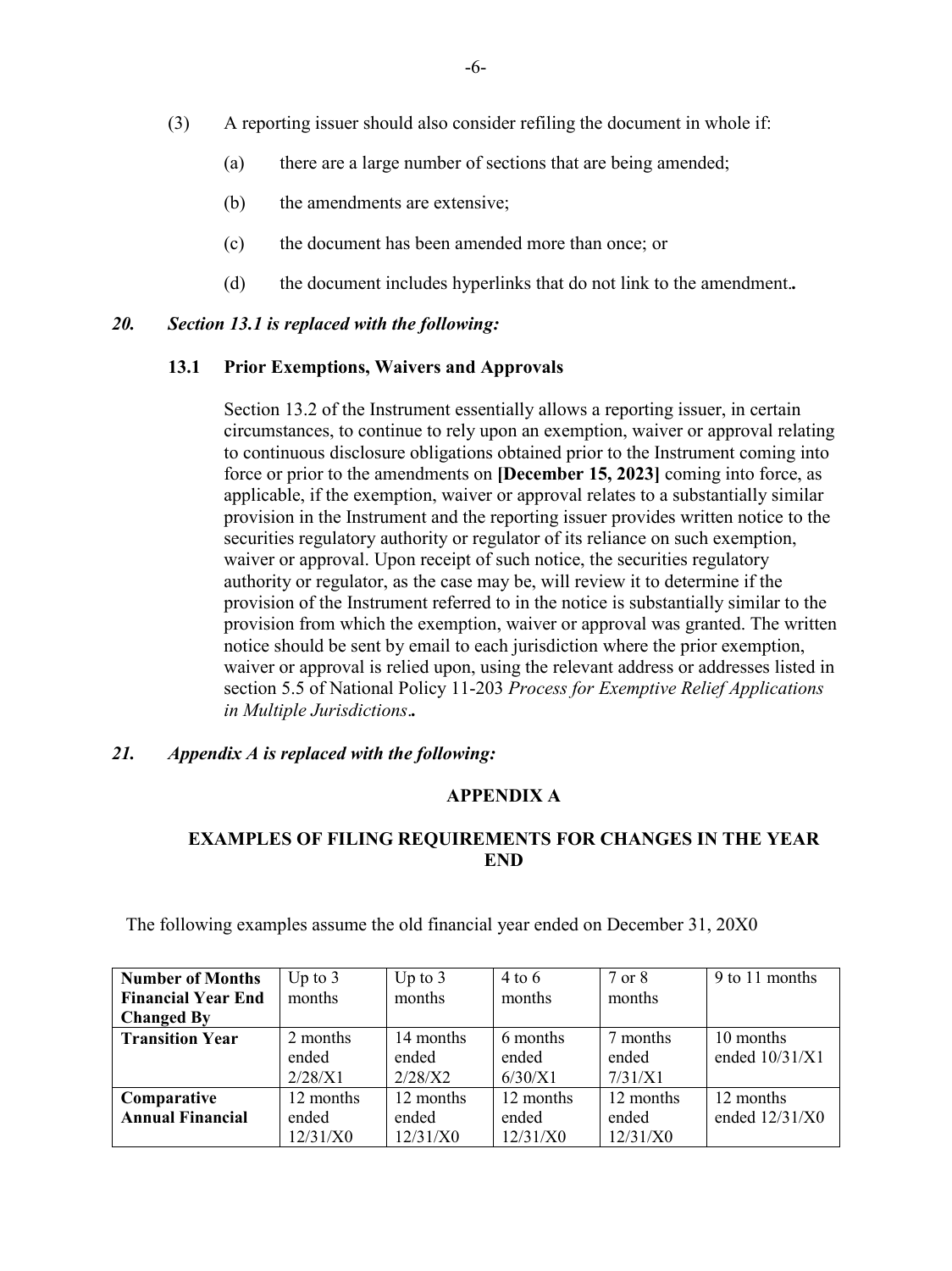- (3) A reporting issuer should also consider refiling the document in whole if:
	- (a) there are a large number of sections that are being amended;
	- (b) the amendments are extensive;
	- (c) the document has been amended more than once; or
	- (d) the document includes hyperlinks that do not link to the amendment.*.*

#### *20. Section 13.1 is replaced with the following:*

#### **13.1 Prior Exemptions, Waivers and Approvals**

Section 13.2 of the Instrument essentially allows a reporting issuer, in certain circumstances, to continue to rely upon an exemption, waiver or approval relating to continuous disclosure obligations obtained prior to the Instrument coming into force or prior to the amendments on **[December 15, 2023]** coming into force, as applicable, if the exemption, waiver or approval relates to a substantially similar provision in the Instrument and the reporting issuer provides written notice to the securities regulatory authority or regulator of its reliance on such exemption, waiver or approval. Upon receipt of such notice, the securities regulatory authority or regulator, as the case may be, will review it to determine if the provision of the Instrument referred to in the notice is substantially similar to the provision from which the exemption, waiver or approval was granted. The written notice should be sent by email to each jurisdiction where the prior exemption, waiver or approval is relied upon, using the relevant address or addresses listed in section 5.5 of National Policy 11-203 *Process for Exemptive Relief Applications in Multiple Jurisdictions*.*.*

## *21. Appendix A is replaced with the following:*

## **APPENDIX A**

# **EXAMPLES OF FILING REQUIREMENTS FOR CHANGES IN THE YEAR END**

| <b>Number of Months</b>   | Up to $3$ | Up to $3$ | $4$ to 6  | 7 or 8    | 9 to 11 months   |
|---------------------------|-----------|-----------|-----------|-----------|------------------|
| <b>Financial Year End</b> | months    | months    | months    | months    |                  |
| <b>Changed By</b>         |           |           |           |           |                  |
| <b>Transition Year</b>    | 2 months  | 14 months | 6 months  | 7 months  | 10 months        |
|                           | ended     | ended     | ended     | ended     | ended $10/31/X1$ |
|                           | 2/28/X1   | 2/28/X2   | 6/30/X1   | 7/31/X1   |                  |
| Comparative               | 12 months | 12 months | 12 months | 12 months | 12 months        |
| <b>Annual Financial</b>   | ended     | ended     | ended     | ended     | ended $12/31/X0$ |
|                           | 12/31/X0  | 12/31/X0  | 12/31/X0  | 12/31/X0  |                  |

The following examples assume the old financial year ended on December 31, 20X0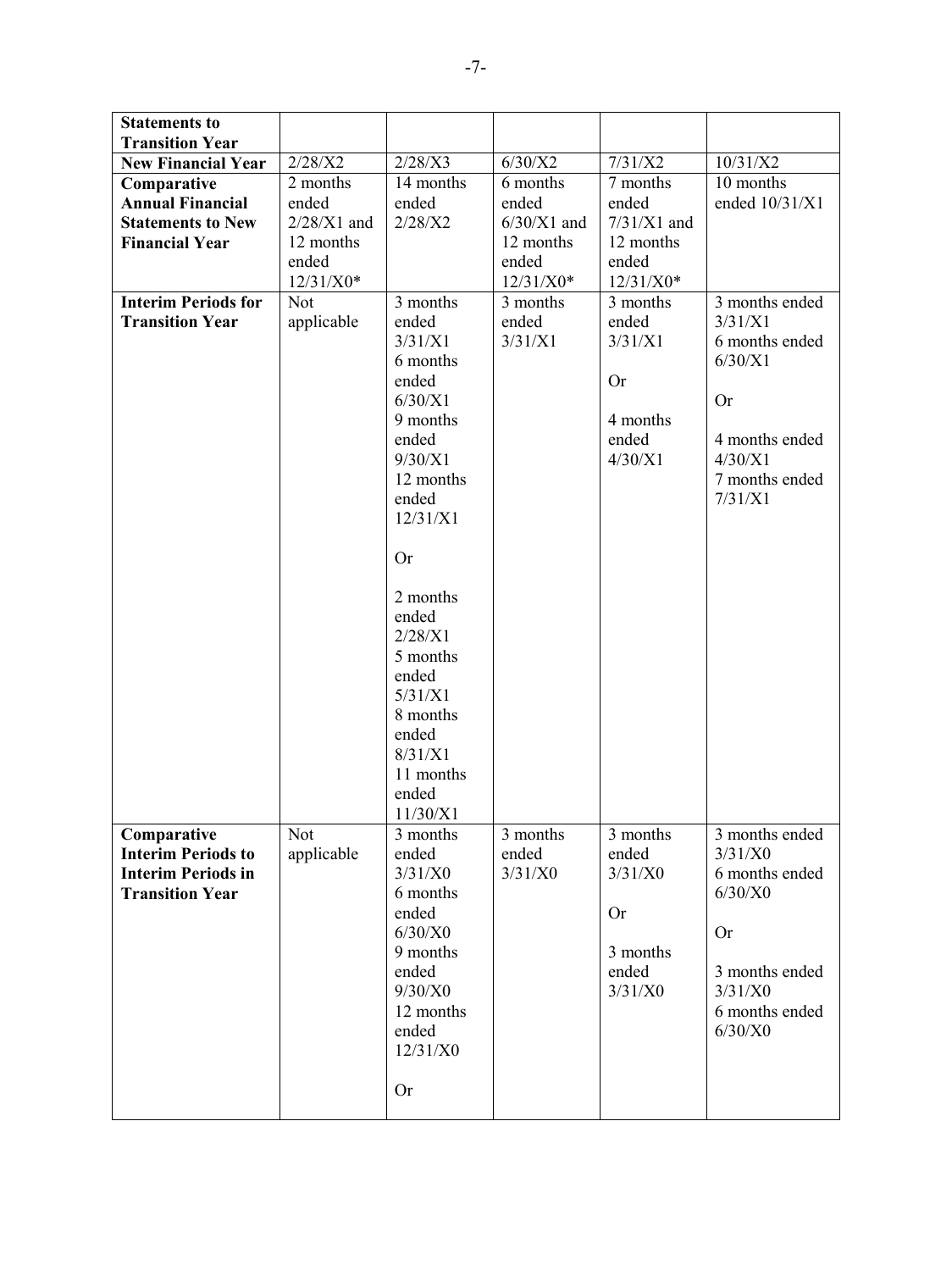| <b>Statements to</b><br><b>Transition Year</b> |               |                     |               |               |                |
|------------------------------------------------|---------------|---------------------|---------------|---------------|----------------|
| <b>New Financial Year</b>                      | 2/28/X2       | 2/28/X3             | 6/30/X2       | 7/31/X2       | 10/31/X2       |
| Comparative                                    | 2 months      | 14 months           | 6 months      | 7 months      | 10 months      |
| <b>Annual Financial</b>                        | ended         | ended               | ended         | ended         | ended 10/31/X1 |
| <b>Statements to New</b>                       | $2/28/X1$ and | 2/28/X2             | $6/30/X1$ and | $7/31/X1$ and |                |
| <b>Financial Year</b>                          | 12 months     |                     | 12 months     | 12 months     |                |
|                                                | ended         |                     | ended         | ended         |                |
|                                                | $12/31/X0*$   |                     | $12/31/X0*$   | $12/31/X0*$   |                |
| <b>Interim Periods for</b>                     | Not           | 3 months            | 3 months      | 3 months      | 3 months ended |
| <b>Transition Year</b>                         | applicable    | ended               | ended         | ended         | 3/31/X1        |
|                                                |               | 3/31/X1             | 3/31/X1       | 3/31/X1       | 6 months ended |
|                                                |               | 6 months            |               |               | 6/30/X1        |
|                                                |               | ended               |               | <b>Or</b>     |                |
|                                                |               | 6/30/X1             |               |               | <b>Or</b>      |
|                                                |               | 9 months            |               | 4 months      |                |
|                                                |               | ended               |               | ended         | 4 months ended |
|                                                |               | 9/30/X1             |               | 4/30/X1       | 4/30/X1        |
|                                                |               | 12 months           |               |               | 7 months ended |
|                                                |               | ended               |               |               | 7/31/X1        |
|                                                |               | 12/31/X1            |               |               |                |
|                                                |               | Or                  |               |               |                |
|                                                |               |                     |               |               |                |
|                                                |               | 2 months            |               |               |                |
|                                                |               | ended               |               |               |                |
|                                                |               | 2/28/X1             |               |               |                |
|                                                |               | 5 months            |               |               |                |
|                                                |               | ended               |               |               |                |
|                                                |               | 5/31/X1             |               |               |                |
|                                                |               | 8 months            |               |               |                |
|                                                |               | ended               |               |               |                |
|                                                |               | 8/31/X1             |               |               |                |
|                                                |               | 11 months           |               |               |                |
|                                                |               | ended               |               |               |                |
|                                                |               | 11/30/X1            |               |               |                |
| Comparative                                    | Not           | 3 months            | 3 months      | 3 months      | 3 months ended |
| <b>Interim Periods to</b>                      | applicable    | ended               | ended         | ended         | 3/31/X0        |
| <b>Interim Periods in</b>                      |               | 3/31/X0             | 3/31/X0       | 3/31/X0       | 6 months ended |
| <b>Transition Year</b>                         |               | 6 months            |               |               | $6/30/X0$      |
|                                                |               | ended               |               | <b>Or</b>     |                |
|                                                |               | 6/30/X0<br>9 months |               | 3 months      | <b>Or</b>      |
|                                                |               | ended               |               | ended         | 3 months ended |
|                                                |               | 9/30/X0             |               | 3/31/X0       | 3/31/X0        |
|                                                |               | 12 months           |               |               | 6 months ended |
|                                                |               | ended               |               |               | $6/30/X0$      |
|                                                |               | 12/31/X0            |               |               |                |
|                                                |               |                     |               |               |                |
|                                                |               | <b>Or</b>           |               |               |                |
|                                                |               |                     |               |               |                |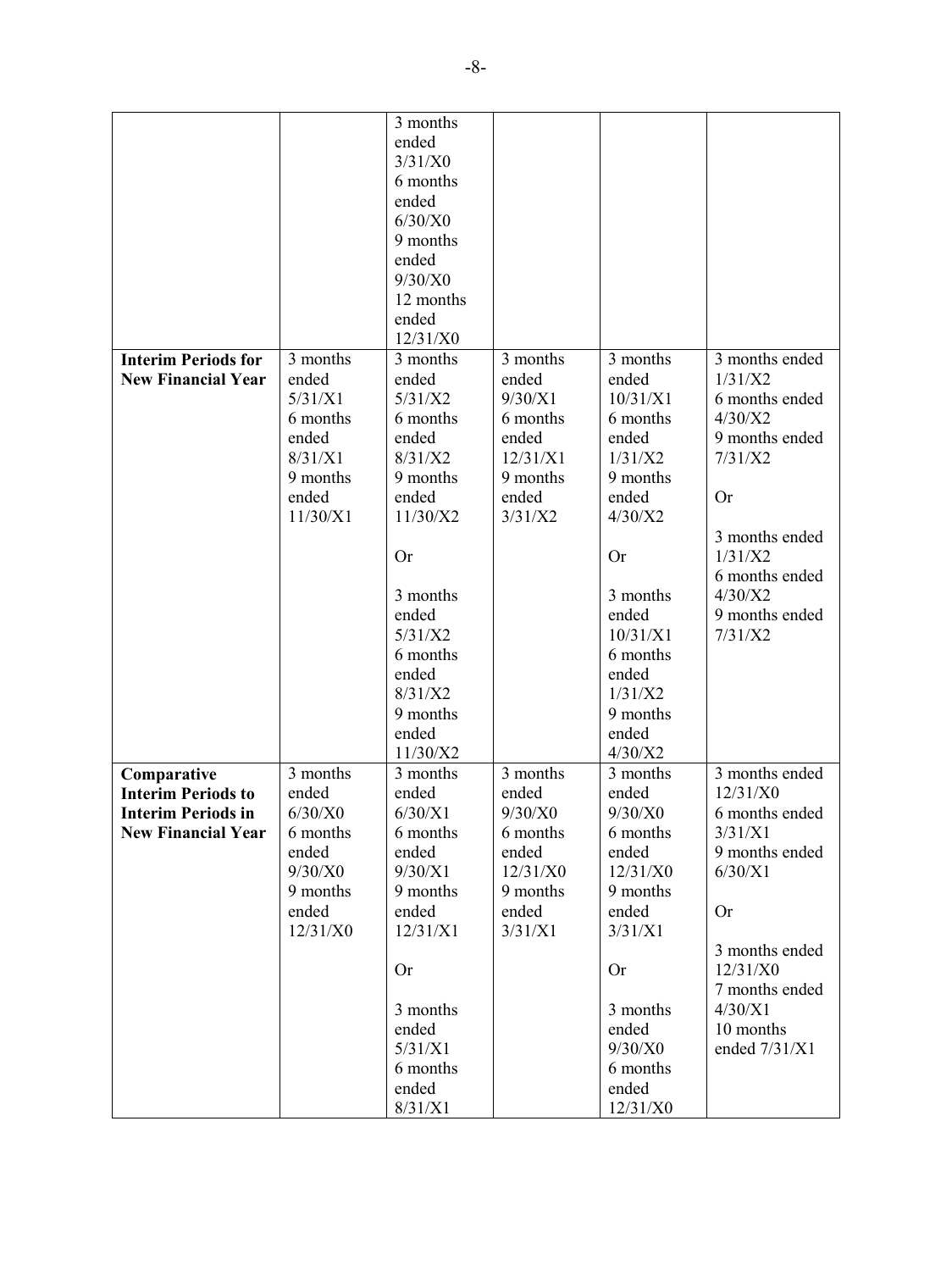| ended<br>3/31/X0<br>6 months<br>ended<br>6/30/X0<br>9 months<br>ended<br>9/30/X0<br>12 months<br>ended<br>12/31/X0<br>3 months ended<br><b>Interim Periods for</b><br>3 months<br>3 months<br>3 months<br>3 months<br>ended<br>1/31/X2<br><b>New Financial Year</b><br>ended<br>ended<br>ended<br>5/31/X1<br>5/31/X2<br>9/30/X1<br>10/31/X1<br>6 months ended<br>4/30/X2<br>6 months<br>6 months<br>6 months<br>6 months<br>ended<br>9 months ended<br>ended<br>ended<br>ended<br>8/31/X1<br>8/31/X2<br>12/31/X1<br>1/31/X2<br>7/31/X2<br>9 months<br>9 months<br>9 months<br>9 months<br>ended<br>ended<br>ended<br>ended<br><b>Or</b><br>11/30/X1<br>11/30/X2<br>3/31/X2<br>4/30/X2<br>3 months ended<br>1/31/X2<br><b>Or</b><br>Or<br>6 months ended<br>4/30/X2<br>3 months<br>3 months<br>9 months ended<br>ended<br>ended<br>5/31/X2<br>10/31/X1<br>7/31/X2<br>6 months<br>6 months<br>ended<br>ended<br>8/31/X2<br>1/31/X2<br>9 months<br>9 months<br>ended<br>ended<br>11/30/X2<br>4/30/X2<br>3 months<br>3 months ended<br>Comparative<br>3 months<br>3 months<br>3 months<br>12/31/X0<br><b>Interim Periods to</b><br>ended<br>ended<br>ended<br>ended<br>$6/30/X0$<br>9/30/X0<br>9/30/X0<br>6/30/X1<br>6 months ended<br><b>Interim Periods in</b><br>3/31/X1<br><b>New Financial Year</b><br>6 months<br>6 months<br>6 months<br>6 months<br>ended<br>ended<br>ended<br>ended<br>9 months ended<br>9/30/X0<br>9/30/X1<br>12/31/X0<br>12/31/X0<br>6/30/X1<br>9 months<br>9 months<br>9 months<br>9 months<br>ended<br>ended<br>ended<br>ended<br><b>Or</b><br>12/31/X0<br>12/31/X1<br>3/31/X1<br>3/31/X1<br>3 months ended<br>12/31/X0<br><b>Or</b><br>Or<br>7 months ended<br>4/30/X1<br>3 months<br>3 months<br>10 months<br>ended<br>ended |  | 3 months |         |                 |
|---------------------------------------------------------------------------------------------------------------------------------------------------------------------------------------------------------------------------------------------------------------------------------------------------------------------------------------------------------------------------------------------------------------------------------------------------------------------------------------------------------------------------------------------------------------------------------------------------------------------------------------------------------------------------------------------------------------------------------------------------------------------------------------------------------------------------------------------------------------------------------------------------------------------------------------------------------------------------------------------------------------------------------------------------------------------------------------------------------------------------------------------------------------------------------------------------------------------------------------------------------------------------------------------------------------------------------------------------------------------------------------------------------------------------------------------------------------------------------------------------------------------------------------------------------------------------------------------------------------------------------------------------------------------------------------------------------------------------------------------------------|--|----------|---------|-----------------|
|                                                                                                                                                                                                                                                                                                                                                                                                                                                                                                                                                                                                                                                                                                                                                                                                                                                                                                                                                                                                                                                                                                                                                                                                                                                                                                                                                                                                                                                                                                                                                                                                                                                                                                                                                         |  |          |         |                 |
|                                                                                                                                                                                                                                                                                                                                                                                                                                                                                                                                                                                                                                                                                                                                                                                                                                                                                                                                                                                                                                                                                                                                                                                                                                                                                                                                                                                                                                                                                                                                                                                                                                                                                                                                                         |  |          |         |                 |
|                                                                                                                                                                                                                                                                                                                                                                                                                                                                                                                                                                                                                                                                                                                                                                                                                                                                                                                                                                                                                                                                                                                                                                                                                                                                                                                                                                                                                                                                                                                                                                                                                                                                                                                                                         |  |          |         |                 |
|                                                                                                                                                                                                                                                                                                                                                                                                                                                                                                                                                                                                                                                                                                                                                                                                                                                                                                                                                                                                                                                                                                                                                                                                                                                                                                                                                                                                                                                                                                                                                                                                                                                                                                                                                         |  |          |         |                 |
|                                                                                                                                                                                                                                                                                                                                                                                                                                                                                                                                                                                                                                                                                                                                                                                                                                                                                                                                                                                                                                                                                                                                                                                                                                                                                                                                                                                                                                                                                                                                                                                                                                                                                                                                                         |  |          |         |                 |
|                                                                                                                                                                                                                                                                                                                                                                                                                                                                                                                                                                                                                                                                                                                                                                                                                                                                                                                                                                                                                                                                                                                                                                                                                                                                                                                                                                                                                                                                                                                                                                                                                                                                                                                                                         |  |          |         |                 |
|                                                                                                                                                                                                                                                                                                                                                                                                                                                                                                                                                                                                                                                                                                                                                                                                                                                                                                                                                                                                                                                                                                                                                                                                                                                                                                                                                                                                                                                                                                                                                                                                                                                                                                                                                         |  |          |         |                 |
|                                                                                                                                                                                                                                                                                                                                                                                                                                                                                                                                                                                                                                                                                                                                                                                                                                                                                                                                                                                                                                                                                                                                                                                                                                                                                                                                                                                                                                                                                                                                                                                                                                                                                                                                                         |  |          |         |                 |
|                                                                                                                                                                                                                                                                                                                                                                                                                                                                                                                                                                                                                                                                                                                                                                                                                                                                                                                                                                                                                                                                                                                                                                                                                                                                                                                                                                                                                                                                                                                                                                                                                                                                                                                                                         |  |          |         |                 |
|                                                                                                                                                                                                                                                                                                                                                                                                                                                                                                                                                                                                                                                                                                                                                                                                                                                                                                                                                                                                                                                                                                                                                                                                                                                                                                                                                                                                                                                                                                                                                                                                                                                                                                                                                         |  |          |         |                 |
|                                                                                                                                                                                                                                                                                                                                                                                                                                                                                                                                                                                                                                                                                                                                                                                                                                                                                                                                                                                                                                                                                                                                                                                                                                                                                                                                                                                                                                                                                                                                                                                                                                                                                                                                                         |  |          |         |                 |
|                                                                                                                                                                                                                                                                                                                                                                                                                                                                                                                                                                                                                                                                                                                                                                                                                                                                                                                                                                                                                                                                                                                                                                                                                                                                                                                                                                                                                                                                                                                                                                                                                                                                                                                                                         |  |          |         |                 |
|                                                                                                                                                                                                                                                                                                                                                                                                                                                                                                                                                                                                                                                                                                                                                                                                                                                                                                                                                                                                                                                                                                                                                                                                                                                                                                                                                                                                                                                                                                                                                                                                                                                                                                                                                         |  |          |         |                 |
|                                                                                                                                                                                                                                                                                                                                                                                                                                                                                                                                                                                                                                                                                                                                                                                                                                                                                                                                                                                                                                                                                                                                                                                                                                                                                                                                                                                                                                                                                                                                                                                                                                                                                                                                                         |  |          |         |                 |
|                                                                                                                                                                                                                                                                                                                                                                                                                                                                                                                                                                                                                                                                                                                                                                                                                                                                                                                                                                                                                                                                                                                                                                                                                                                                                                                                                                                                                                                                                                                                                                                                                                                                                                                                                         |  |          |         |                 |
|                                                                                                                                                                                                                                                                                                                                                                                                                                                                                                                                                                                                                                                                                                                                                                                                                                                                                                                                                                                                                                                                                                                                                                                                                                                                                                                                                                                                                                                                                                                                                                                                                                                                                                                                                         |  |          |         |                 |
|                                                                                                                                                                                                                                                                                                                                                                                                                                                                                                                                                                                                                                                                                                                                                                                                                                                                                                                                                                                                                                                                                                                                                                                                                                                                                                                                                                                                                                                                                                                                                                                                                                                                                                                                                         |  |          |         |                 |
|                                                                                                                                                                                                                                                                                                                                                                                                                                                                                                                                                                                                                                                                                                                                                                                                                                                                                                                                                                                                                                                                                                                                                                                                                                                                                                                                                                                                                                                                                                                                                                                                                                                                                                                                                         |  |          |         |                 |
|                                                                                                                                                                                                                                                                                                                                                                                                                                                                                                                                                                                                                                                                                                                                                                                                                                                                                                                                                                                                                                                                                                                                                                                                                                                                                                                                                                                                                                                                                                                                                                                                                                                                                                                                                         |  |          |         |                 |
|                                                                                                                                                                                                                                                                                                                                                                                                                                                                                                                                                                                                                                                                                                                                                                                                                                                                                                                                                                                                                                                                                                                                                                                                                                                                                                                                                                                                                                                                                                                                                                                                                                                                                                                                                         |  |          |         |                 |
|                                                                                                                                                                                                                                                                                                                                                                                                                                                                                                                                                                                                                                                                                                                                                                                                                                                                                                                                                                                                                                                                                                                                                                                                                                                                                                                                                                                                                                                                                                                                                                                                                                                                                                                                                         |  |          |         |                 |
|                                                                                                                                                                                                                                                                                                                                                                                                                                                                                                                                                                                                                                                                                                                                                                                                                                                                                                                                                                                                                                                                                                                                                                                                                                                                                                                                                                                                                                                                                                                                                                                                                                                                                                                                                         |  |          |         |                 |
|                                                                                                                                                                                                                                                                                                                                                                                                                                                                                                                                                                                                                                                                                                                                                                                                                                                                                                                                                                                                                                                                                                                                                                                                                                                                                                                                                                                                                                                                                                                                                                                                                                                                                                                                                         |  |          |         |                 |
|                                                                                                                                                                                                                                                                                                                                                                                                                                                                                                                                                                                                                                                                                                                                                                                                                                                                                                                                                                                                                                                                                                                                                                                                                                                                                                                                                                                                                                                                                                                                                                                                                                                                                                                                                         |  |          |         |                 |
|                                                                                                                                                                                                                                                                                                                                                                                                                                                                                                                                                                                                                                                                                                                                                                                                                                                                                                                                                                                                                                                                                                                                                                                                                                                                                                                                                                                                                                                                                                                                                                                                                                                                                                                                                         |  |          |         |                 |
|                                                                                                                                                                                                                                                                                                                                                                                                                                                                                                                                                                                                                                                                                                                                                                                                                                                                                                                                                                                                                                                                                                                                                                                                                                                                                                                                                                                                                                                                                                                                                                                                                                                                                                                                                         |  |          |         |                 |
|                                                                                                                                                                                                                                                                                                                                                                                                                                                                                                                                                                                                                                                                                                                                                                                                                                                                                                                                                                                                                                                                                                                                                                                                                                                                                                                                                                                                                                                                                                                                                                                                                                                                                                                                                         |  |          |         |                 |
|                                                                                                                                                                                                                                                                                                                                                                                                                                                                                                                                                                                                                                                                                                                                                                                                                                                                                                                                                                                                                                                                                                                                                                                                                                                                                                                                                                                                                                                                                                                                                                                                                                                                                                                                                         |  |          |         |                 |
|                                                                                                                                                                                                                                                                                                                                                                                                                                                                                                                                                                                                                                                                                                                                                                                                                                                                                                                                                                                                                                                                                                                                                                                                                                                                                                                                                                                                                                                                                                                                                                                                                                                                                                                                                         |  |          |         |                 |
|                                                                                                                                                                                                                                                                                                                                                                                                                                                                                                                                                                                                                                                                                                                                                                                                                                                                                                                                                                                                                                                                                                                                                                                                                                                                                                                                                                                                                                                                                                                                                                                                                                                                                                                                                         |  |          |         |                 |
|                                                                                                                                                                                                                                                                                                                                                                                                                                                                                                                                                                                                                                                                                                                                                                                                                                                                                                                                                                                                                                                                                                                                                                                                                                                                                                                                                                                                                                                                                                                                                                                                                                                                                                                                                         |  |          |         |                 |
|                                                                                                                                                                                                                                                                                                                                                                                                                                                                                                                                                                                                                                                                                                                                                                                                                                                                                                                                                                                                                                                                                                                                                                                                                                                                                                                                                                                                                                                                                                                                                                                                                                                                                                                                                         |  |          |         |                 |
|                                                                                                                                                                                                                                                                                                                                                                                                                                                                                                                                                                                                                                                                                                                                                                                                                                                                                                                                                                                                                                                                                                                                                                                                                                                                                                                                                                                                                                                                                                                                                                                                                                                                                                                                                         |  |          |         |                 |
|                                                                                                                                                                                                                                                                                                                                                                                                                                                                                                                                                                                                                                                                                                                                                                                                                                                                                                                                                                                                                                                                                                                                                                                                                                                                                                                                                                                                                                                                                                                                                                                                                                                                                                                                                         |  |          |         |                 |
|                                                                                                                                                                                                                                                                                                                                                                                                                                                                                                                                                                                                                                                                                                                                                                                                                                                                                                                                                                                                                                                                                                                                                                                                                                                                                                                                                                                                                                                                                                                                                                                                                                                                                                                                                         |  |          |         |                 |
|                                                                                                                                                                                                                                                                                                                                                                                                                                                                                                                                                                                                                                                                                                                                                                                                                                                                                                                                                                                                                                                                                                                                                                                                                                                                                                                                                                                                                                                                                                                                                                                                                                                                                                                                                         |  |          |         |                 |
|                                                                                                                                                                                                                                                                                                                                                                                                                                                                                                                                                                                                                                                                                                                                                                                                                                                                                                                                                                                                                                                                                                                                                                                                                                                                                                                                                                                                                                                                                                                                                                                                                                                                                                                                                         |  |          |         |                 |
|                                                                                                                                                                                                                                                                                                                                                                                                                                                                                                                                                                                                                                                                                                                                                                                                                                                                                                                                                                                                                                                                                                                                                                                                                                                                                                                                                                                                                                                                                                                                                                                                                                                                                                                                                         |  |          |         |                 |
|                                                                                                                                                                                                                                                                                                                                                                                                                                                                                                                                                                                                                                                                                                                                                                                                                                                                                                                                                                                                                                                                                                                                                                                                                                                                                                                                                                                                                                                                                                                                                                                                                                                                                                                                                         |  |          |         |                 |
|                                                                                                                                                                                                                                                                                                                                                                                                                                                                                                                                                                                                                                                                                                                                                                                                                                                                                                                                                                                                                                                                                                                                                                                                                                                                                                                                                                                                                                                                                                                                                                                                                                                                                                                                                         |  |          |         |                 |
|                                                                                                                                                                                                                                                                                                                                                                                                                                                                                                                                                                                                                                                                                                                                                                                                                                                                                                                                                                                                                                                                                                                                                                                                                                                                                                                                                                                                                                                                                                                                                                                                                                                                                                                                                         |  |          |         |                 |
|                                                                                                                                                                                                                                                                                                                                                                                                                                                                                                                                                                                                                                                                                                                                                                                                                                                                                                                                                                                                                                                                                                                                                                                                                                                                                                                                                                                                                                                                                                                                                                                                                                                                                                                                                         |  |          |         |                 |
|                                                                                                                                                                                                                                                                                                                                                                                                                                                                                                                                                                                                                                                                                                                                                                                                                                                                                                                                                                                                                                                                                                                                                                                                                                                                                                                                                                                                                                                                                                                                                                                                                                                                                                                                                         |  |          |         |                 |
|                                                                                                                                                                                                                                                                                                                                                                                                                                                                                                                                                                                                                                                                                                                                                                                                                                                                                                                                                                                                                                                                                                                                                                                                                                                                                                                                                                                                                                                                                                                                                                                                                                                                                                                                                         |  |          |         |                 |
|                                                                                                                                                                                                                                                                                                                                                                                                                                                                                                                                                                                                                                                                                                                                                                                                                                                                                                                                                                                                                                                                                                                                                                                                                                                                                                                                                                                                                                                                                                                                                                                                                                                                                                                                                         |  |          |         |                 |
|                                                                                                                                                                                                                                                                                                                                                                                                                                                                                                                                                                                                                                                                                                                                                                                                                                                                                                                                                                                                                                                                                                                                                                                                                                                                                                                                                                                                                                                                                                                                                                                                                                                                                                                                                         |  |          |         |                 |
|                                                                                                                                                                                                                                                                                                                                                                                                                                                                                                                                                                                                                                                                                                                                                                                                                                                                                                                                                                                                                                                                                                                                                                                                                                                                                                                                                                                                                                                                                                                                                                                                                                                                                                                                                         |  |          |         |                 |
|                                                                                                                                                                                                                                                                                                                                                                                                                                                                                                                                                                                                                                                                                                                                                                                                                                                                                                                                                                                                                                                                                                                                                                                                                                                                                                                                                                                                                                                                                                                                                                                                                                                                                                                                                         |  | 5/31/X1  | 9/30/X0 | ended $7/31/X1$ |
| 6 months<br>6 months                                                                                                                                                                                                                                                                                                                                                                                                                                                                                                                                                                                                                                                                                                                                                                                                                                                                                                                                                                                                                                                                                                                                                                                                                                                                                                                                                                                                                                                                                                                                                                                                                                                                                                                                    |  |          |         |                 |
| ended<br>ended                                                                                                                                                                                                                                                                                                                                                                                                                                                                                                                                                                                                                                                                                                                                                                                                                                                                                                                                                                                                                                                                                                                                                                                                                                                                                                                                                                                                                                                                                                                                                                                                                                                                                                                                          |  |          |         |                 |
| 12/31/X0<br>8/31/X1                                                                                                                                                                                                                                                                                                                                                                                                                                                                                                                                                                                                                                                                                                                                                                                                                                                                                                                                                                                                                                                                                                                                                                                                                                                                                                                                                                                                                                                                                                                                                                                                                                                                                                                                     |  |          |         |                 |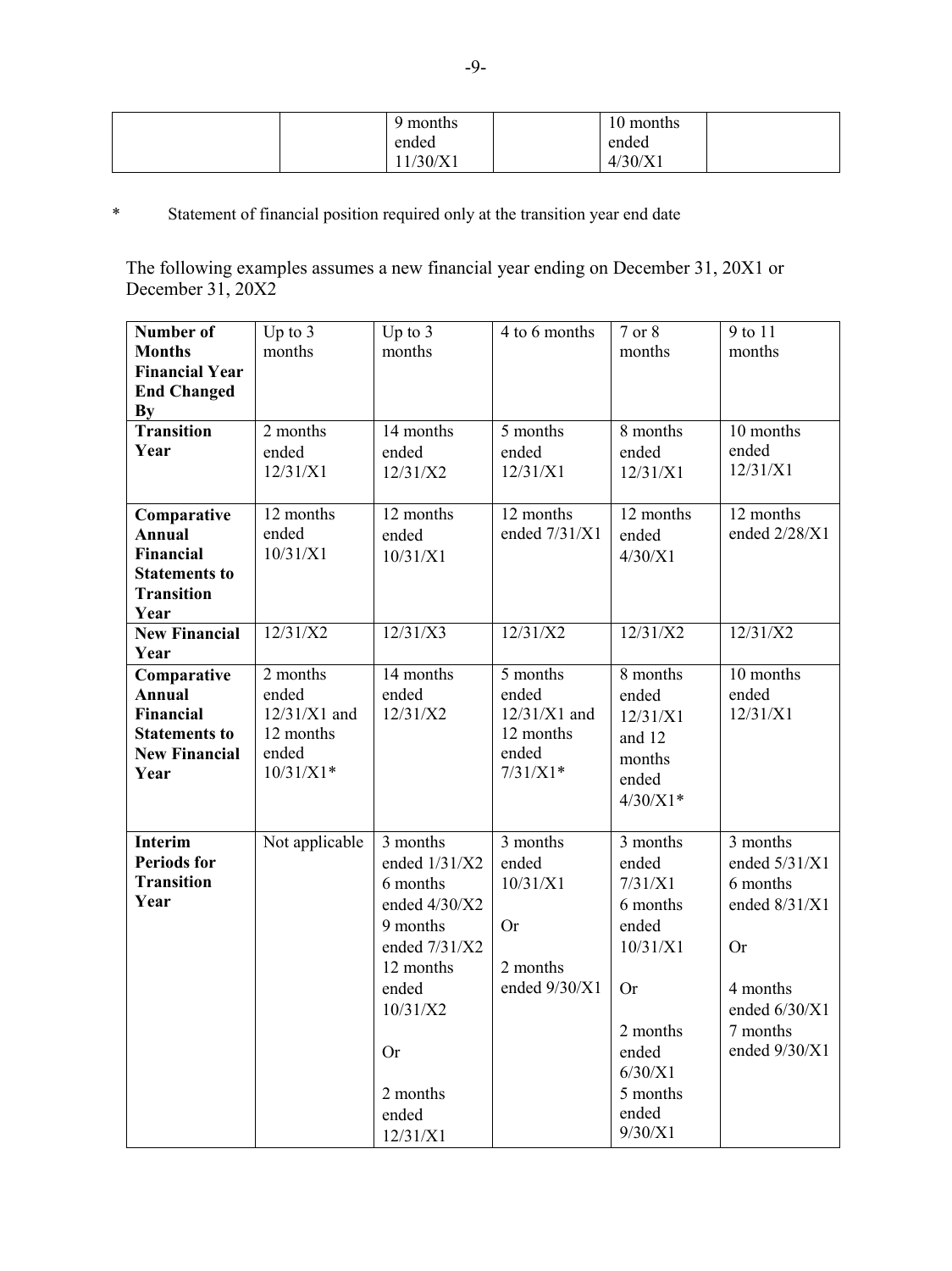| months  | $\sim$<br>l 0 months |  |
|---------|----------------------|--|
| ended   | ended                |  |
| 1/30/X1 | 4/30/X1              |  |

# \* Statement of financial position required only at the transition year end date

The following examples assumes a new financial year ending on December 31, 20X1 or December 31, 20X2

| Number of                    | Up to $3$       | Up to $3$       | 4 to 6 months  | 7 or 8     | 9 to 11         |
|------------------------------|-----------------|-----------------|----------------|------------|-----------------|
| <b>Months</b>                | months          | months          |                | months     | months          |
| <b>Financial Year</b>        |                 |                 |                |            |                 |
| <b>End Changed</b>           |                 |                 |                |            |                 |
| By                           |                 |                 |                |            |                 |
| <b>Transition</b>            | 2 months        | 14 months       | 5 months       | 8 months   | 10 months       |
| Year                         | ended           | ended           | ended          | ended      | ended           |
|                              | 12/31/X1        | 12/31/X2        | 12/31/X1       | 12/31/X1   | 12/31/X1        |
|                              |                 |                 |                |            |                 |
| Comparative                  | 12 months       | 12 months       | 12 months      | 12 months  | 12 months       |
| Annual                       | ended           | ended           | ended 7/31/X1  | ended      | ended 2/28/X1   |
| <b>Financial</b>             | 10/31/X1        | 10/31/X1        |                | 4/30/X1    |                 |
| <b>Statements to</b>         |                 |                 |                |            |                 |
| <b>Transition</b>            |                 |                 |                |            |                 |
| Year<br><b>New Financial</b> | $\frac{12}{31}$ | 12/31/X3        | 12/31/X2       | 12/31/X2   | 12/31/X2        |
| Year                         |                 |                 |                |            |                 |
| Comparative                  | 2 months        | 14 months       | 5 months       | 8 months   | 10 months       |
| <b>Annual</b>                | ended           | ended           | ended          | ended      | ended           |
| <b>Financial</b>             | $12/31/X1$ and  | 12/31/X2        | $12/31/X1$ and |            | 12/31/X1        |
| <b>Statements to</b>         | 12 months       |                 | 12 months      | 12/31/X1   |                 |
| <b>New Financial</b>         | ended           |                 | ended          | and 12     |                 |
| Year                         | $10/31/X1*$     |                 | $7/31/X1*$     | months     |                 |
|                              |                 |                 |                | ended      |                 |
|                              |                 |                 |                | $4/30/X1*$ |                 |
| <b>Interim</b>               |                 | 3 months        | 3 months       | 3 months   | 3 months        |
| <b>Periods for</b>           | Not applicable  | ended 1/31/X2   | ended          | ended      | ended $5/31/X1$ |
| <b>Transition</b>            |                 | 6 months        | 10/31/X1       |            | 6 months        |
| Year                         |                 |                 |                | 7/31/X1    |                 |
|                              |                 | ended $4/30/X2$ |                | 6 months   | ended 8/31/X1   |
|                              |                 | 9 months        | <b>Or</b>      | ended      |                 |
|                              |                 | ended 7/31/X2   |                | 10/31/X1   | <b>Or</b>       |
|                              |                 | 12 months       | 2 months       |            |                 |
|                              |                 | ended           | ended 9/30/X1  | <b>Or</b>  | 4 months        |
|                              |                 | 10/31/X2        |                |            | ended $6/30/X1$ |
|                              |                 |                 |                | 2 months   | 7 months        |
|                              |                 | <b>Or</b>       |                | ended      | ended 9/30/X1   |
|                              |                 |                 |                | 6/30/X1    |                 |
|                              |                 | 2 months        |                | 5 months   |                 |
|                              |                 | ended           |                | ended      |                 |
|                              |                 | 12/31/X1        |                | 9/30/X1    |                 |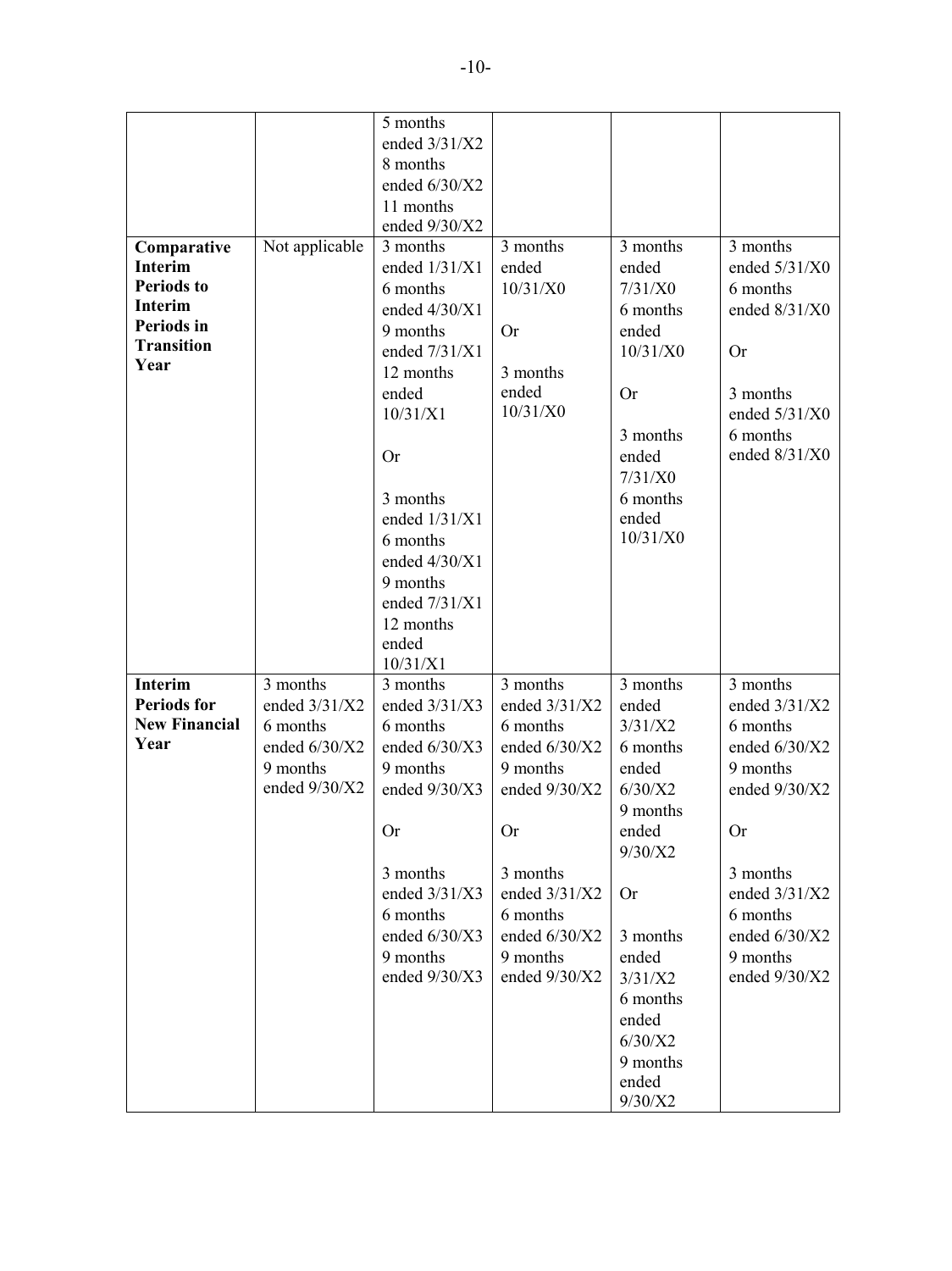|                      |                | 5 months        |                 |           |                 |
|----------------------|----------------|-----------------|-----------------|-----------|-----------------|
|                      |                | ended 3/31/X2   |                 |           |                 |
|                      |                | 8 months        |                 |           |                 |
|                      |                | ended 6/30/X2   |                 |           |                 |
|                      |                | 11 months       |                 |           |                 |
|                      |                | ended 9/30/X2   |                 |           |                 |
| Comparative          | Not applicable | 3 months        | 3 months        | 3 months  | 3 months        |
| <b>Interim</b>       |                | ended 1/31/X1   | ended           | ended     | ended 5/31/X0   |
| <b>Periods to</b>    |                | 6 months        | 10/31/X0        | 7/31/X0   | 6 months        |
| <b>Interim</b>       |                | ended 4/30/X1   |                 | 6 months  | ended 8/31/X0   |
| Periods in           |                | 9 months        | <b>Or</b>       | ended     |                 |
| <b>Transition</b>    |                | ended 7/31/X1   |                 | 10/31/X0  | <b>Or</b>       |
| Year                 |                | 12 months       | 3 months        |           |                 |
|                      |                | ended           | ended           | <b>Or</b> | 3 months        |
|                      |                | 10/31/X1        | 10/31/X0        |           | ended 5/31/X0   |
|                      |                |                 |                 | 3 months  | 6 months        |
|                      |                | <b>Or</b>       |                 | ended     | ended 8/31/X0   |
|                      |                |                 |                 | 7/31/X0   |                 |
|                      |                | 3 months        |                 | 6 months  |                 |
|                      |                | ended 1/31/X1   |                 | ended     |                 |
|                      |                | 6 months        |                 | 10/31/X0  |                 |
|                      |                | ended 4/30/X1   |                 |           |                 |
|                      |                | 9 months        |                 |           |                 |
|                      |                | ended 7/31/X1   |                 |           |                 |
|                      |                | 12 months       |                 |           |                 |
|                      |                | ended           |                 |           |                 |
|                      |                | 10/31/X1        |                 |           |                 |
| <b>Interim</b>       | 3 months       | 3 months        | 3 months        | 3 months  | 3 months        |
| <b>Periods for</b>   | ended 3/31/X2  | ended 3/31/X3   | ended 3/31/X2   | ended     | ended 3/31/X2   |
| <b>New Financial</b> | 6 months       | 6 months        | 6 months        | 3/31/X2   | 6 months        |
| Year                 | ended 6/30/X2  | ended 6/30/X3   | ended 6/30/X2   | 6 months  | ended 6/30/X2   |
|                      | 9 months       | 9 months        | 9 months        | ended     | 9 months        |
|                      | ended 9/30/X2  | ended 9/30/X3   | ended 9/30/X2   | 6/30/X2   | ended 9/30/X2   |
|                      |                |                 |                 | 9 months  |                 |
|                      |                | <b>Or</b>       | <b>Or</b>       | ended     | <b>Or</b>       |
|                      |                |                 |                 | 9/30/X2   |                 |
|                      |                | 3 months        | 3 months        |           | 3 months        |
|                      |                | ended $3/31/X3$ | ended 3/31/X2   | <b>Or</b> | ended $3/31/X2$ |
|                      |                | 6 months        | 6 months        |           | 6 months        |
|                      |                | ended $6/30/X3$ | ended $6/30/X2$ | 3 months  | ended $6/30/X2$ |
|                      |                | 9 months        | 9 months        | ended     | 9 months        |
|                      |                | ended $9/30/X3$ | ended 9/30/X2   | 3/31/X2   | ended $9/30/X2$ |
|                      |                |                 |                 | 6 months  |                 |
|                      |                |                 |                 | ended     |                 |
|                      |                |                 |                 | 6/30/X2   |                 |
|                      |                |                 |                 | 9 months  |                 |
|                      |                |                 |                 | ended     |                 |
|                      |                |                 |                 | 9/30/X2   |                 |